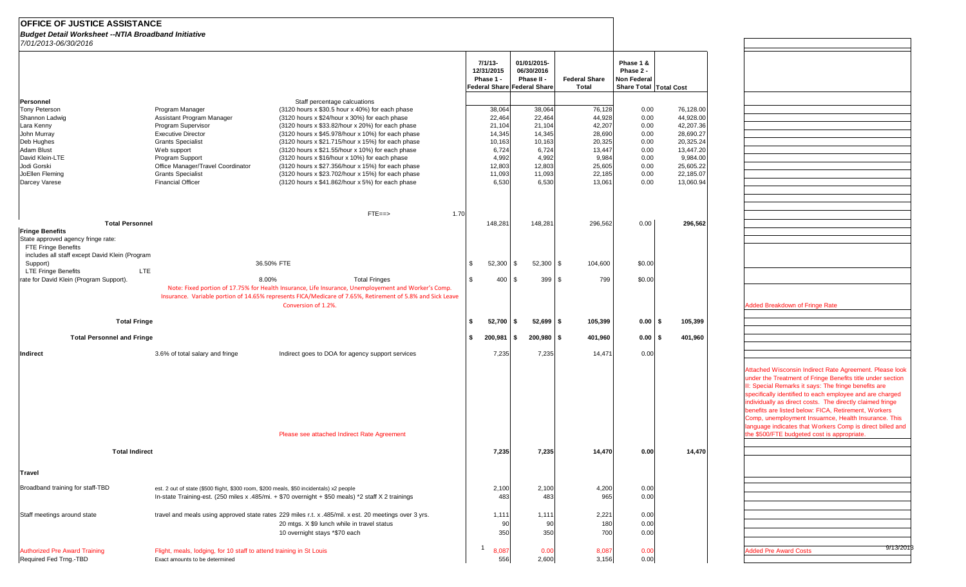#### **OFFICE OF JUSTICE ASSISTANCE***Budget Detail Worksheet --NTIA Broadband Initiative*

| 7/01/2013-06/30/2016                                                                |                                                                                                       |                                                                                                                                                                                                                                           |      |                                      |                                                                               |                               |                                                                 |           |                                                                                                                                                                                                                                                                    |
|-------------------------------------------------------------------------------------|-------------------------------------------------------------------------------------------------------|-------------------------------------------------------------------------------------------------------------------------------------------------------------------------------------------------------------------------------------------|------|--------------------------------------|-------------------------------------------------------------------------------|-------------------------------|-----------------------------------------------------------------|-----------|--------------------------------------------------------------------------------------------------------------------------------------------------------------------------------------------------------------------------------------------------------------------|
|                                                                                     |                                                                                                       |                                                                                                                                                                                                                                           |      | $7/1/13-$<br>12/31/2015<br>Phase 1 - | 01/01/2015-<br>06/30/2016<br>Phase II -<br><b>Federal Share Federal Share</b> | <b>Federal Share</b><br>Total | Phase 1 &<br>Phase 2 -<br>Non Federal<br>Share Total Total Cost |           |                                                                                                                                                                                                                                                                    |
|                                                                                     |                                                                                                       |                                                                                                                                                                                                                                           |      |                                      |                                                                               |                               |                                                                 |           |                                                                                                                                                                                                                                                                    |
| Personnel<br>Tony Peterson                                                          | Program Manager                                                                                       | Staff percentage calcuations<br>(3120 hours x \$30.5 hour x 40%) for each phase                                                                                                                                                           |      | 38,064                               | 38,064                                                                        | 76,128                        | 0.00                                                            | 76,128.00 |                                                                                                                                                                                                                                                                    |
| Shannon Ladwig                                                                      | Assistant Program Manager                                                                             | (3120 hours x \$24/hour x 30%) for each phase                                                                                                                                                                                             |      | 22,464                               | 22,464                                                                        | 44,928                        | 0.00                                                            | 44,928.00 |                                                                                                                                                                                                                                                                    |
| Lara Kenny                                                                          | Program Supervisor                                                                                    | (3120 hours x \$33.82/hour x 20%) for each phase                                                                                                                                                                                          |      | 21,104                               | 21,104                                                                        | 42,207                        | 0.00                                                            | 42,207.36 |                                                                                                                                                                                                                                                                    |
| John Murray                                                                         | <b>Executive Director</b>                                                                             | (3120 hours x \$45.978/hour x 10%) for each phase                                                                                                                                                                                         |      | 14,345                               | 14,345                                                                        | 28,690                        | 0.00                                                            | 28,690.27 |                                                                                                                                                                                                                                                                    |
| Deb Hughes                                                                          | <b>Grants Specialist</b>                                                                              | (3120 hours x \$21.715/hour x 15%) for each phase                                                                                                                                                                                         |      | 10,163                               | 10,163                                                                        | 20,325                        | 0.00                                                            | 20,325.24 |                                                                                                                                                                                                                                                                    |
| Adam Blust                                                                          | Web support                                                                                           | (3120 hours x \$21.55/hour x 10%) for each phase                                                                                                                                                                                          |      | 6,724                                | 6,724                                                                         | 13,447                        | 0.00                                                            | 13,447.20 |                                                                                                                                                                                                                                                                    |
| David Klein-LTE                                                                     | Program Support                                                                                       | (3120 hours x \$16/hour x 10%) for each phase                                                                                                                                                                                             |      | 4,992                                | 4,992                                                                         | 9,984                         | 0.00                                                            | 9,984.00  |                                                                                                                                                                                                                                                                    |
| Jodi Gorski                                                                         | Office Manager/Travel Coordinator                                                                     | (3120 hours x \$27.356/hour x 15%) for each phase                                                                                                                                                                                         |      | 12,803                               | 12,803                                                                        | 25,605                        | 0.00                                                            | 25,605.22 |                                                                                                                                                                                                                                                                    |
| JoEllen Fleming                                                                     | <b>Grants Specialist</b>                                                                              | (3120 hours x \$23.702/hour x 15%) for each phase                                                                                                                                                                                         |      | 11,093                               | 11,093                                                                        | 22,185                        | 0.00                                                            | 22,185.07 |                                                                                                                                                                                                                                                                    |
| Darcey Varese                                                                       | <b>Financial Officer</b>                                                                              | $(3120$ hours x \$41.862/hour x 5%) for each phase                                                                                                                                                                                        |      | 6,530                                | 6,530                                                                         | 13,061                        | 0.00                                                            | 13,060.94 |                                                                                                                                                                                                                                                                    |
|                                                                                     |                                                                                                       |                                                                                                                                                                                                                                           |      |                                      |                                                                               |                               |                                                                 |           |                                                                                                                                                                                                                                                                    |
|                                                                                     |                                                                                                       | $FTE == >$                                                                                                                                                                                                                                | 1.70 |                                      |                                                                               |                               |                                                                 |           |                                                                                                                                                                                                                                                                    |
| <b>Total Personnel</b>                                                              |                                                                                                       |                                                                                                                                                                                                                                           |      | 148,281                              | 148,281                                                                       | 296,562                       | 0.00                                                            | 296,562   |                                                                                                                                                                                                                                                                    |
| <b>Fringe Benefits</b><br>State approved agency fringe rate:<br>FTE Fringe Benefits |                                                                                                       |                                                                                                                                                                                                                                           |      |                                      |                                                                               |                               |                                                                 |           |                                                                                                                                                                                                                                                                    |
| includes all staff except David Klein (Program<br>Support)                          |                                                                                                       | 36.50% FTE                                                                                                                                                                                                                                | \$   | 52,300                               | 52,300<br>\$                                                                  | 104,600<br>\$                 | \$0.00                                                          |           |                                                                                                                                                                                                                                                                    |
| <b>LTE Fringe Benefits</b>                                                          | LTE                                                                                                   | 8.00%<br><b>Total Fringes</b>                                                                                                                                                                                                             | \$   |                                      | 399 \$<br>\$                                                                  | 799                           | \$0.00                                                          |           |                                                                                                                                                                                                                                                                    |
| rate for David Klein (Program Support).                                             |                                                                                                       | Note: Fixed portion of 17.75% for Health Insurance, Life Insurance, Unemployement and Worker's Comp.<br>Insurance. Variable portion of 14.65% represents FICA/Medicare of 7.65%, Retirement of 5.8% and Sick Leave<br>Conversion of 1.2%. |      | 400                                  |                                                                               |                               |                                                                 |           | <b>Added Breakdown of Fri</b>                                                                                                                                                                                                                                      |
|                                                                                     | <b>Total Fringe</b>                                                                                   |                                                                                                                                                                                                                                           | s.   | 52,700                               | $52,699$ \$<br><b>\$</b>                                                      | 105,399                       | $0.00$ \$                                                       | 105,399   |                                                                                                                                                                                                                                                                    |
|                                                                                     |                                                                                                       |                                                                                                                                                                                                                                           | -96  |                                      |                                                                               |                               |                                                                 |           |                                                                                                                                                                                                                                                                    |
| <b>Total Personnel and Fringe</b>                                                   |                                                                                                       |                                                                                                                                                                                                                                           |      | 200,981                              | $\bullet$<br>200,980                                                          | l \$<br>401,960               | $0.00$ \$                                                       | 401,960   |                                                                                                                                                                                                                                                                    |
| Indirect                                                                            | 3.6% of total salary and fringe                                                                       | Indirect goes to DOA for agency support services                                                                                                                                                                                          |      | 7,235                                | 7,235                                                                         | 14,471                        | 0.00                                                            |           |                                                                                                                                                                                                                                                                    |
|                                                                                     |                                                                                                       | Please see attached Indirect Rate Agreement                                                                                                                                                                                               |      |                                      |                                                                               |                               |                                                                 |           | <b>Attached Wisconsin Indi</b><br>under the Treatment of F<br>II: Special Remarks it sa<br>specifically identified to a<br>individually as direct cos<br>benefits are listed below<br>Comp, unemployment In<br>language indicates that \<br>the \$500/FTE budgeted |
|                                                                                     |                                                                                                       |                                                                                                                                                                                                                                           |      |                                      |                                                                               |                               |                                                                 |           |                                                                                                                                                                                                                                                                    |
|                                                                                     | <b>Total Indirect</b>                                                                                 |                                                                                                                                                                                                                                           |      | 7,235                                | 7,235                                                                         | 14,470                        | 0.00                                                            | 14,470    |                                                                                                                                                                                                                                                                    |
| Travel                                                                              |                                                                                                       |                                                                                                                                                                                                                                           |      |                                      |                                                                               |                               |                                                                 |           |                                                                                                                                                                                                                                                                    |
| Broadband training for staff-TBD                                                    | est. 2 out of state (\$500 flight, \$300 room, \$200 meals, \$50 incidentals) x2 people               |                                                                                                                                                                                                                                           |      | 2,100                                | 2,100                                                                         | 4,200                         | 0.00                                                            |           |                                                                                                                                                                                                                                                                    |
|                                                                                     |                                                                                                       | In-state Training-est. (250 miles x .485/mi. + \$70 overnight + \$50 meals) *2 staff X 2 trainings                                                                                                                                        |      | 483                                  | 483                                                                           | 965                           | 0.00                                                            |           |                                                                                                                                                                                                                                                                    |
| Staff meetings around state                                                         |                                                                                                       | travel and meals using approved state rates 229 miles r.t. x .485/mil. x est. 20 meetings over 3 yrs.                                                                                                                                     |      | 1,111                                | 1,111                                                                         | 2,221                         | 0.00                                                            |           |                                                                                                                                                                                                                                                                    |
|                                                                                     |                                                                                                       | 20 mtgs. X \$9 lunch while in travel status                                                                                                                                                                                               |      | 90                                   | 90                                                                            | 180                           | 0.00                                                            |           |                                                                                                                                                                                                                                                                    |
|                                                                                     |                                                                                                       | 10 overnight stays *\$70 each                                                                                                                                                                                                             |      | 350                                  | 350                                                                           | 700                           | 0.00                                                            |           |                                                                                                                                                                                                                                                                    |
| <b>Authorized Pre Award Training</b><br>Required Fed Trng.-TBD                      | Flight, meals, lodging, for 10 staff to attend training in St Louis<br>Exact amounts to be determined |                                                                                                                                                                                                                                           |      | 8,087<br>556                         | 0.00<br>2,600                                                                 | 8,087<br>3,156                | 0.00<br>0.00                                                    |           | <b>Added Pre Award Costs</b>                                                                                                                                                                                                                                       |

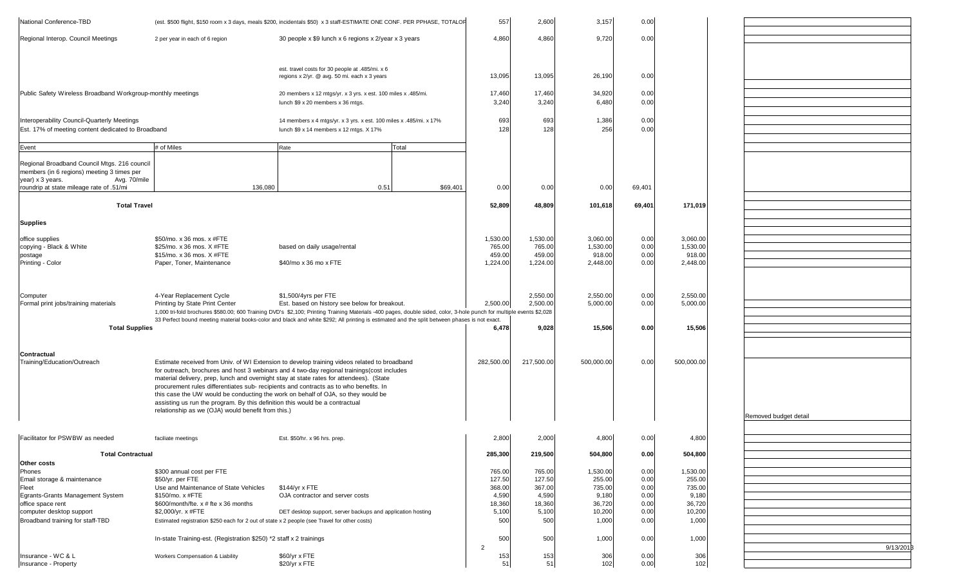| National Conference-TBD                                                                           | (est. \$500 flight, \$150 room x 3 days, meals \$200, incidentals \$50) x 3 staff-ESTIMATE ONE CONF. PER PPHASE, TOTALOF                                                                                                                                                                                              |                                                                                                               |          | 557                | 2,600              | 3,157              | 0.00         |                    |                       |
|---------------------------------------------------------------------------------------------------|-----------------------------------------------------------------------------------------------------------------------------------------------------------------------------------------------------------------------------------------------------------------------------------------------------------------------|---------------------------------------------------------------------------------------------------------------|----------|--------------------|--------------------|--------------------|--------------|--------------------|-----------------------|
| Regional Interop. Council Meetings                                                                | 2 per year in each of 6 region                                                                                                                                                                                                                                                                                        | 30 people x \$9 lunch x 6 regions x 2/year x 3 years                                                          |          | 4,860              | 4,860              | 9,720              | 0.00         |                    |                       |
|                                                                                                   |                                                                                                                                                                                                                                                                                                                       |                                                                                                               |          |                    |                    |                    |              |                    |                       |
|                                                                                                   |                                                                                                                                                                                                                                                                                                                       |                                                                                                               |          |                    |                    |                    |              |                    |                       |
|                                                                                                   |                                                                                                                                                                                                                                                                                                                       | est. travel costs for 30 people at .485/mi. x 6                                                               |          |                    |                    |                    |              |                    |                       |
|                                                                                                   |                                                                                                                                                                                                                                                                                                                       | regions x 2/yr. @ avg. 50 mi. each x 3 years                                                                  |          | 13,095             | 13,095             | 26,190             | 0.00         |                    |                       |
| Public Safety Wireless Broadband Workgroup-monthly meetings                                       |                                                                                                                                                                                                                                                                                                                       | 20 members x 12 mtgs/yr. x 3 yrs. x est. 100 miles x .485/mi.                                                 |          | 17,460             | 17,460             | 34,920             | 0.00         |                    |                       |
|                                                                                                   |                                                                                                                                                                                                                                                                                                                       | lunch \$9 x 20 members x 36 mtgs.                                                                             |          | 3,240              | 3,240              | 6,480              | 0.00         |                    |                       |
|                                                                                                   |                                                                                                                                                                                                                                                                                                                       |                                                                                                               |          |                    | 693                |                    | 0.00         |                    |                       |
| Interoperability Council-Quarterly Meetings<br>Est. 17% of meeting content dedicated to Broadband |                                                                                                                                                                                                                                                                                                                       | 14 members x 4 mtgs/yr. x 3 yrs. x est. 100 miles x .485/mi. x 17%<br>lunch \$9 x 14 members x 12 mtgs. X 17% |          | 693<br>128         | 128                | 1,386<br>256       | 0.00         |                    |                       |
|                                                                                                   |                                                                                                                                                                                                                                                                                                                       |                                                                                                               |          |                    |                    |                    |              |                    |                       |
| Event                                                                                             | # of Miles                                                                                                                                                                                                                                                                                                            | Rate                                                                                                          | Total    |                    |                    |                    |              |                    |                       |
| Regional Broadband Council Mtgs. 216 council                                                      |                                                                                                                                                                                                                                                                                                                       |                                                                                                               |          |                    |                    |                    |              |                    |                       |
| members (in 6 regions) meeting 3 times per                                                        |                                                                                                                                                                                                                                                                                                                       |                                                                                                               |          |                    |                    |                    |              |                    |                       |
| year) x 3 years.<br>Avg. 70/mile<br>roundrip at state mileage rate of .51/mi                      | 136,080                                                                                                                                                                                                                                                                                                               | 0.51                                                                                                          | \$69,401 | 0.00               | 0.00               | 0.00               | 69,401       |                    |                       |
|                                                                                                   |                                                                                                                                                                                                                                                                                                                       |                                                                                                               |          |                    |                    |                    |              |                    |                       |
| <b>Total Travel</b>                                                                               |                                                                                                                                                                                                                                                                                                                       |                                                                                                               |          | 52,809             | 48,809             | 101,618            | 69,401       | 171,019            |                       |
|                                                                                                   |                                                                                                                                                                                                                                                                                                                       |                                                                                                               |          |                    |                    |                    |              |                    |                       |
| <b>Supplies</b>                                                                                   |                                                                                                                                                                                                                                                                                                                       |                                                                                                               |          |                    |                    |                    |              |                    |                       |
| office supplies                                                                                   | \$50/mo. x 36 mos. x #FTE                                                                                                                                                                                                                                                                                             |                                                                                                               |          | 1,530.00           | 1,530.00           | 3,060.00           | 0.00         | 3,060.00           |                       |
| copying - Black & White                                                                           | \$25/mo. x 36 mos. X #FTE                                                                                                                                                                                                                                                                                             | based on daily usage/rental                                                                                   |          | 765.00             | 765.00             | 1,530.00           | 0.00         | 1,530.00           |                       |
| postage<br>Printing - Color                                                                       | \$15/mo. x 36 mos. X #FTE<br>Paper, Toner, Maintenance                                                                                                                                                                                                                                                                | \$40/mo x 36 mo x FTE                                                                                         |          | 459.00<br>1,224.00 | 459.00<br>1,224.00 | 918.00<br>2,448.00 | 0.00<br>0.00 | 918.00<br>2,448.00 |                       |
|                                                                                                   |                                                                                                                                                                                                                                                                                                                       |                                                                                                               |          |                    |                    |                    |              |                    |                       |
|                                                                                                   |                                                                                                                                                                                                                                                                                                                       |                                                                                                               |          |                    |                    |                    |              |                    |                       |
| Computer                                                                                          | 4-Year Replacement Cycle                                                                                                                                                                                                                                                                                              | \$1,500/4yrs per FTE                                                                                          |          |                    | 2,550.00           | 2,550.00           | 0.00         | 2,550.00           |                       |
| Formal print jobs/training materials                                                              | Printing by State Print Center                                                                                                                                                                                                                                                                                        | Est. based on history see below for breakout.                                                                 |          | 2,500.00           | 2,500.00           | 5,000.00           | 0.00         | 5,000.00           |                       |
|                                                                                                   | 1,000 tri-fold brochures \$580.00; 600 Training DVD's \$2,100; Printing Training Materials -400 pages, double sided, color, 3-hole punch for multiple events \$2,028<br>33 Perfect bound meeting material books-color and black and white \$292; All printing is estimated and the split between phases is not exact. |                                                                                                               |          |                    |                    |                    |              |                    |                       |
| <b>Total Supplies</b>                                                                             |                                                                                                                                                                                                                                                                                                                       |                                                                                                               |          | 6,478              | 9,028              | 15,506             | 0.00         | 15,506             |                       |
|                                                                                                   |                                                                                                                                                                                                                                                                                                                       |                                                                                                               |          |                    |                    |                    |              |                    |                       |
|                                                                                                   |                                                                                                                                                                                                                                                                                                                       |                                                                                                               |          |                    |                    |                    |              |                    |                       |
| Contractual<br>Training/Education/Outreach                                                        | Estimate received from Univ. of WI Extension to develop training videos related to broadband                                                                                                                                                                                                                          |                                                                                                               |          | 282,500.00         | 217,500.00         | 500,000.00         | 0.00         | 500,000.00         |                       |
|                                                                                                   | for outreach, brochures and host 3 webinars and 4 two-day regional trainings (cost includes                                                                                                                                                                                                                           |                                                                                                               |          |                    |                    |                    |              |                    |                       |
|                                                                                                   | material delivery, prep, lunch and overnight stay at state rates for attendees). (State<br>procurement rules differentiates sub- recipients and contracts as to who benefits. In                                                                                                                                      |                                                                                                               |          |                    |                    |                    |              |                    |                       |
|                                                                                                   | this case the UW would be conducting the work on behalf of OJA, so they would be                                                                                                                                                                                                                                      |                                                                                                               |          |                    |                    |                    |              |                    |                       |
|                                                                                                   | assisting us run the program. By this definition this would be a contractual                                                                                                                                                                                                                                          |                                                                                                               |          |                    |                    |                    |              |                    |                       |
|                                                                                                   | relationship as we (OJA) would benefit from this.)                                                                                                                                                                                                                                                                    |                                                                                                               |          |                    |                    |                    |              |                    | Removed budget detail |
|                                                                                                   |                                                                                                                                                                                                                                                                                                                       |                                                                                                               |          |                    |                    |                    |              |                    |                       |
| Facilitator for PSWBW as needed                                                                   | faciliate meetings                                                                                                                                                                                                                                                                                                    | Est. \$50/hr. x 96 hrs. prep.                                                                                 |          | 2,800              | 2,000              | 4,800              | 0.00         | 4,800              |                       |
| <b>Total Contractual</b>                                                                          |                                                                                                                                                                                                                                                                                                                       |                                                                                                               |          | 285,300            | 219,500            | 504,800            | 0.00         | 504,800            |                       |
| Other costs                                                                                       |                                                                                                                                                                                                                                                                                                                       |                                                                                                               |          |                    |                    |                    |              |                    |                       |
| Phones                                                                                            | \$300 annual cost per FTE                                                                                                                                                                                                                                                                                             |                                                                                                               |          | 765.00             | 765.00             | 1,530.00           | 0.00         | 1,530.00           |                       |
| Email storage & maintenance                                                                       | \$50/yr. per FTE                                                                                                                                                                                                                                                                                                      |                                                                                                               |          | 127.50             | 127.50             | 255.00             | 0.00         | 255.00             |                       |
| Fleet<br>Egrants-Grants Management System                                                         | Use and Maintenance of State Vehicles<br>\$150/mo. x #FTE                                                                                                                                                                                                                                                             | $$144/yr \times FTE$<br>OJA contractor and server costs                                                       |          | 368.00<br>4,590    | 367.00<br>4,590    | 735.00<br>9,180    | 0.00<br>0.00 | 735.00<br>9,180    |                       |
| office space rent                                                                                 | \$600/month/fte. $x \#$ fte x 36 months                                                                                                                                                                                                                                                                               |                                                                                                               |          | 18,360             | 18,360             | 36,720             | 0.00         | 36,720             |                       |
| computer desktop support                                                                          | \$2,000/yr. x #FTE                                                                                                                                                                                                                                                                                                    | DET desktop support, server backups and application hosting                                                   |          | 5,100              | 5,100              | 10,200             | 0.00         | 10,200             |                       |
| Broadband training for staff-TBD                                                                  | Estimated registration \$250 each for 2 out of state x 2 people (see Travel for other costs)                                                                                                                                                                                                                          |                                                                                                               |          | 500                | 500                | 1,000              | 0.00         | 1,000              |                       |
|                                                                                                   | In-state Training-est. (Registration \$250) *2 staff x 2 trainings                                                                                                                                                                                                                                                    |                                                                                                               |          | 500                | 500                | 1,000              | 0.00         | 1,000              |                       |
|                                                                                                   |                                                                                                                                                                                                                                                                                                                       |                                                                                                               |          | $\overline{2}$     |                    |                    |              |                    | 9/13/201              |
| Insurance - WC & L<br>Insurance - Property                                                        | Workers Compensation & Liability                                                                                                                                                                                                                                                                                      | \$60/yr x FTE<br>\$20/yr x FTE                                                                                |          | 153<br>5           | 153<br>51          | 306<br>102         | 0.00<br>0.00 | 306<br>102         |                       |
|                                                                                                   |                                                                                                                                                                                                                                                                                                                       |                                                                                                               |          |                    |                    |                    |              |                    |                       |

| Removed budget detail |           |
|-----------------------|-----------|
|                       |           |
|                       |           |
|                       |           |
|                       |           |
|                       |           |
|                       |           |
|                       |           |
|                       |           |
|                       |           |
|                       |           |
|                       |           |
|                       |           |
|                       |           |
|                       |           |
|                       |           |
|                       |           |
|                       |           |
|                       |           |
|                       | 9/13/2013 |
|                       |           |
|                       |           |
|                       |           |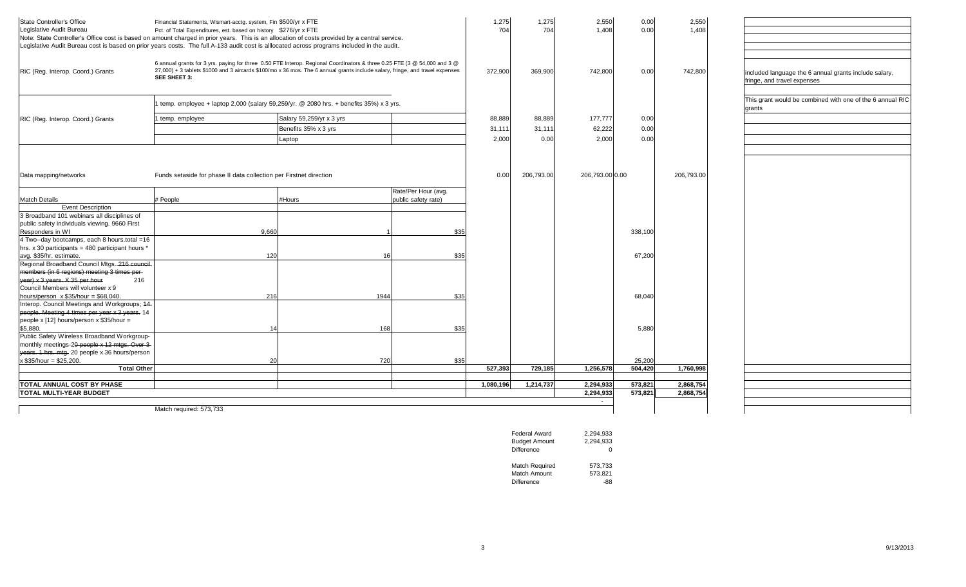| State Controller's Office<br>Legislative Audit Bureau            | Financial Statements, Wismart-acctg. system, Fin \$500/yr x FTE<br>Pct. of Total Expenditures, est. based on history \$276/yr x FTE<br>Note: State Controller's Office cost is based on amount charged in prior years. This is an allocation of costs provided by a central service.<br>Legislative Audit Bureau cost is based on prior years costs. The full A-133 audit cost is alllocated across programs included in the audit. |                          |                                            | 1,275<br>704 | 1,275<br>704 | 2,550<br>1,408 | 0.00<br>0.00    | 2,550<br>1,408 |            |                                                                                      |
|------------------------------------------------------------------|-------------------------------------------------------------------------------------------------------------------------------------------------------------------------------------------------------------------------------------------------------------------------------------------------------------------------------------------------------------------------------------------------------------------------------------|--------------------------|--------------------------------------------|--------------|--------------|----------------|-----------------|----------------|------------|--------------------------------------------------------------------------------------|
| RIC (Reg. Interop. Coord.) Grants                                | 6 annual grants for 3 yrs. paying for three 0.50 FTE Interop. Regional Coordinators & three 0.25 FTE (3 @ 54,000 and 3 @<br>27,000) + 3 tablets \$1000 and 3 aircards \$100/mo x 36 mos. The 6 annual grants include salary, fringe, and travel expenses<br>SEE SHEET 3:                                                                                                                                                            |                          |                                            |              | 372,900      | 369,900        | 742,800         | 0.00           | 742,800    | included language the 6 annual grants include salary,<br>fringe, and travel expenses |
|                                                                  | 1 temp. employee + laptop 2,000 (salary 59,259/yr. @ 2080 hrs. + benefits 35%) x 3 yrs.                                                                                                                                                                                                                                                                                                                                             |                          |                                            |              |              |                |                 |                |            | This grant would be combined with one of the 6 annual RIC<br>grants                  |
| RIC (Reg. Interop. Coord.) Grants                                | 1 temp. employee                                                                                                                                                                                                                                                                                                                                                                                                                    | Salary 59,259/yr x 3 yrs |                                            |              | 88,889       | 88,889         | 177,777         | 0.00           |            |                                                                                      |
|                                                                  |                                                                                                                                                                                                                                                                                                                                                                                                                                     | Benefits 35% x 3 yrs     |                                            |              | 31,111       | 31,111         | 62,222          | 0.00           |            |                                                                                      |
|                                                                  |                                                                                                                                                                                                                                                                                                                                                                                                                                     | aptop                    |                                            |              | 2,000        | 0.00           | 2.000           | 0.00           |            |                                                                                      |
| Data mapping/networks                                            | Funds setaside for phase II data collection per Firstnet direction                                                                                                                                                                                                                                                                                                                                                                  |                          |                                            |              | 0.00         | 206,793.00     | 206,793.00 0.00 |                | 206,793.00 |                                                                                      |
| <b>Match Details</b>                                             | # People                                                                                                                                                                                                                                                                                                                                                                                                                            | #Hours                   | Rate/Per Hour (avg.<br>public safety rate) |              |              |                |                 |                |            |                                                                                      |
| <b>Event Description</b>                                         |                                                                                                                                                                                                                                                                                                                                                                                                                                     |                          |                                            |              |              |                |                 |                |            |                                                                                      |
| 3 Broadband 101 webinars all disciplines of                      |                                                                                                                                                                                                                                                                                                                                                                                                                                     |                          |                                            |              |              |                |                 |                |            |                                                                                      |
| public safety individuals viewing. 9660 First                    |                                                                                                                                                                                                                                                                                                                                                                                                                                     |                          |                                            |              |              |                |                 |                |            |                                                                                      |
| Responders in WI<br>4 Two--day bootcamps, each 8 hours.total =16 | 9.660                                                                                                                                                                                                                                                                                                                                                                                                                               |                          |                                            | \$35         |              |                |                 | 338,100        |            |                                                                                      |
| hrs. x 30 participants = 480 participant hours $*$               |                                                                                                                                                                                                                                                                                                                                                                                                                                     |                          |                                            |              |              |                |                 |                |            |                                                                                      |
| avg. \$35/hr. estimate.                                          | 120                                                                                                                                                                                                                                                                                                                                                                                                                                 |                          | 16                                         | \$35         |              |                |                 | 67,200         |            |                                                                                      |
| Regional Broadband Council Mtgs. 216 council                     |                                                                                                                                                                                                                                                                                                                                                                                                                                     |                          |                                            |              |              |                |                 |                |            |                                                                                      |
| members (in 6 regions) meeting 3 times per-                      |                                                                                                                                                                                                                                                                                                                                                                                                                                     |                          |                                            |              |              |                |                 |                |            |                                                                                      |
| year) x 3 years. X 35 per hour<br>216                            |                                                                                                                                                                                                                                                                                                                                                                                                                                     |                          |                                            |              |              |                |                 |                |            |                                                                                      |
| Council Members will volunteer x 9                               |                                                                                                                                                                                                                                                                                                                                                                                                                                     |                          |                                            |              |              |                |                 |                |            |                                                                                      |
| hours/person $x$ \$35/hour = \$68,040.                           | 216                                                                                                                                                                                                                                                                                                                                                                                                                                 |                          | 1944                                       | \$35         |              |                |                 | 68,040         |            |                                                                                      |
| Interop. Council Meetings and Workgroups; 44-                    |                                                                                                                                                                                                                                                                                                                                                                                                                                     |                          |                                            |              |              |                |                 |                |            |                                                                                      |
| people. Meeting 4 times per year x 3 years. 14                   |                                                                                                                                                                                                                                                                                                                                                                                                                                     |                          |                                            |              |              |                |                 |                |            |                                                                                      |
| people x [12] hours/person x \$35/hour =<br>\$5,880.             | 14                                                                                                                                                                                                                                                                                                                                                                                                                                  |                          | 168                                        | \$35         |              |                |                 | 5,880          |            |                                                                                      |
| Public Safety Wireless Broadband Workgroup-                      |                                                                                                                                                                                                                                                                                                                                                                                                                                     |                          |                                            |              |              |                |                 |                |            |                                                                                      |
| monthly meetings-20 people x 12 mtgs. Over 3                     |                                                                                                                                                                                                                                                                                                                                                                                                                                     |                          |                                            |              |              |                |                 |                |            |                                                                                      |
| years. 1 hrs. mtg. 20 people x 36 hours/person                   |                                                                                                                                                                                                                                                                                                                                                                                                                                     |                          |                                            |              |              |                |                 |                |            |                                                                                      |
| x \$35/hour = \$25,200.                                          | 20                                                                                                                                                                                                                                                                                                                                                                                                                                  |                          | 720                                        | \$35         |              |                |                 | 25,200         |            |                                                                                      |
| <b>Total Other</b>                                               |                                                                                                                                                                                                                                                                                                                                                                                                                                     |                          |                                            |              | 527,393      | 729,185        | 1,256,578       | 504,420        | 1,760,998  |                                                                                      |
|                                                                  |                                                                                                                                                                                                                                                                                                                                                                                                                                     |                          |                                            |              |              |                |                 |                |            |                                                                                      |
| <b>TOTAL ANNUAL COST BY PHASE</b>                                |                                                                                                                                                                                                                                                                                                                                                                                                                                     |                          |                                            |              | 1,080,196    | 1,214,737      | 2,294,933       | 573,821        | 2,868,754  |                                                                                      |
| <b>TOTAL MULTI-YEAR BUDGET</b>                                   |                                                                                                                                                                                                                                                                                                                                                                                                                                     |                          |                                            |              |              |                | 2,294,933       | 573,821        | 2,868,754  |                                                                                      |
|                                                                  |                                                                                                                                                                                                                                                                                                                                                                                                                                     |                          |                                            |              |              |                | $\sim$          |                |            |                                                                                      |
|                                                                  | Match required: 573,733                                                                                                                                                                                                                                                                                                                                                                                                             |                          |                                            |              |              |                |                 |                |            |                                                                                      |

| Federal Award        | 2.294.933 |
|----------------------|-----------|
| <b>Budget Amount</b> | 2,294,933 |
| Difference           |           |
|                      |           |
| Match Required       | 573.733   |
| Match Amount         | 573.821   |
| Difference           | -88       |
|                      |           |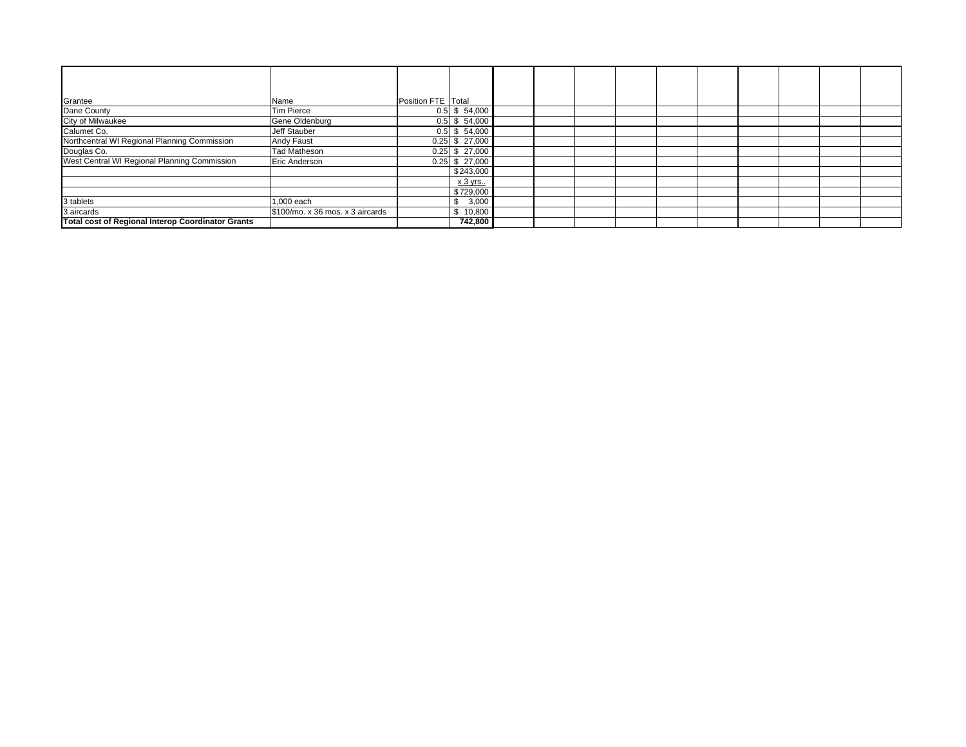| Grantee                                                  | Name                             | Position FTE Total |                  |  |  |  |  |  |
|----------------------------------------------------------|----------------------------------|--------------------|------------------|--|--|--|--|--|
| Dane County                                              | <b>Tim Pierce</b>                |                    | $0.5$ \$ 54,000  |  |  |  |  |  |
| City of Milwaukee                                        | Gene Oldenburg                   |                    | $0.5$ \$ 54,000  |  |  |  |  |  |
| Calumet Co.                                              | Jeff Stauber                     |                    | $0.5$ \$ 54,000  |  |  |  |  |  |
| Northcentral WI Regional Planning Commission             | Andy Faust                       |                    | $0.25$ \$ 27,000 |  |  |  |  |  |
| Douglas Co.                                              | <b>Tad Matheson</b>              |                    | $0.25$ \$ 27,000 |  |  |  |  |  |
| West Central WI Regional Planning Commission             | Eric Anderson                    |                    | $0.25$ \$ 27,000 |  |  |  |  |  |
|                                                          |                                  |                    | \$243,000        |  |  |  |  |  |
|                                                          |                                  |                    | x 3 yrs          |  |  |  |  |  |
|                                                          |                                  |                    | \$729,000        |  |  |  |  |  |
| 3 tablets                                                | 1,000 each                       |                    | 3,000<br>\$.     |  |  |  |  |  |
| 3 aircards                                               | \$100/mo. x 36 mos. x 3 aircards |                    | \$10,800         |  |  |  |  |  |
| <b>Total cost of Regional Interop Coordinator Grants</b> |                                  |                    | 742,800          |  |  |  |  |  |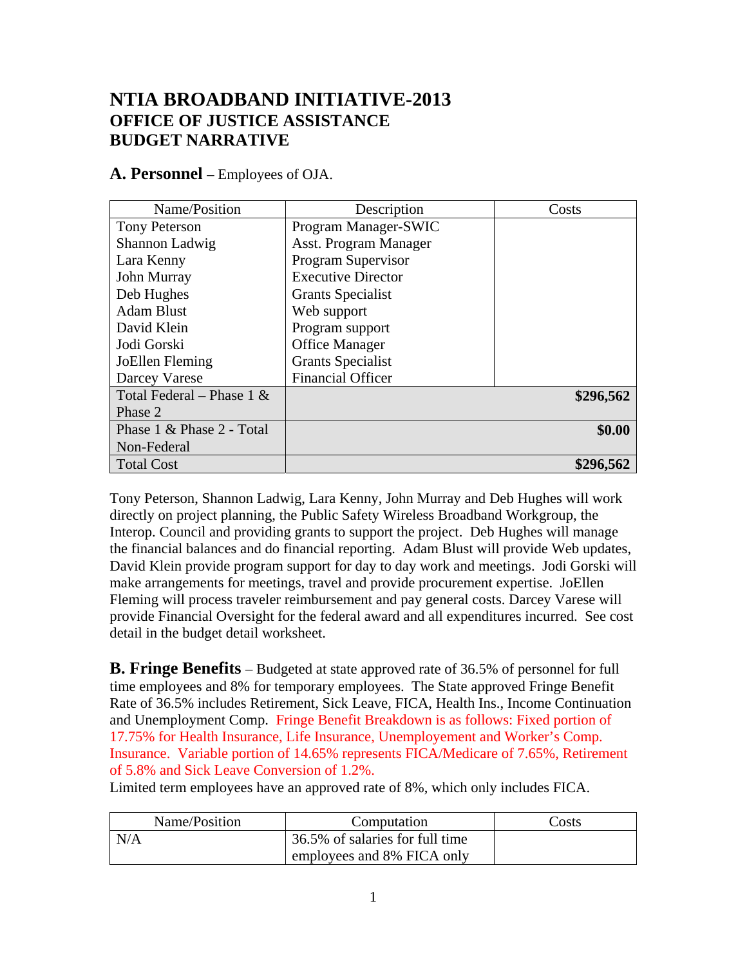# **NTIA BROADBAND INITIATIVE-2013 OFFICE OF JUSTICE ASSISTANCE BUDGET NARRATIVE**

**A. Personnel** – Employees of OJA.

| Name/Position             | Description               | Costs     |
|---------------------------|---------------------------|-----------|
| <b>Tony Peterson</b>      | Program Manager-SWIC      |           |
| Shannon Ladwig            | Asst. Program Manager     |           |
| Lara Kenny                | Program Supervisor        |           |
| John Murray               | <b>Executive Director</b> |           |
| Deb Hughes                | <b>Grants Specialist</b>  |           |
| <b>Adam Blust</b>         | Web support               |           |
| David Klein               | Program support           |           |
| Jodi Gorski               | <b>Office Manager</b>     |           |
| JoEllen Fleming           | <b>Grants Specialist</b>  |           |
| Darcey Varese             | <b>Financial Officer</b>  |           |
| Total Federal - Phase 1 & |                           | \$296,562 |
| Phase 2                   |                           |           |
| Phase 1 & Phase 2 - Total |                           | \$0.00    |
| Non-Federal               |                           |           |
| <b>Total Cost</b>         |                           | \$296,562 |

Tony Peterson, Shannon Ladwig, Lara Kenny, John Murray and Deb Hughes will work directly on project planning, the Public Safety Wireless Broadband Workgroup, the Interop. Council and providing grants to support the project. Deb Hughes will manage the financial balances and do financial reporting. Adam Blust will provide Web updates, David Klein provide program support for day to day work and meetings. Jodi Gorski will make arrangements for meetings, travel and provide procurement expertise. JoEllen Fleming will process traveler reimbursement and pay general costs. Darcey Varese will provide Financial Oversight for the federal award and all expenditures incurred. See cost detail in the budget detail worksheet.

**B. Fringe Benefits** – Budgeted at state approved rate of 36.5% of personnel for full time employees and 8% for temporary employees. The State approved Fringe Benefit Rate of 36.5% includes Retirement, Sick Leave, FICA, Health Ins., Income Continuation and Unemployment Comp. Fringe Benefit Breakdown is as follows: Fixed portion of 17.75% for Health Insurance, Life Insurance, Unemployement and Worker's Comp. Insurance. Variable portion of 14.65% represents FICA/Medicare of 7.65%, Retirement of 5.8% and Sick Leave Conversion of 1.2%.

Limited term employees have an approved rate of 8%, which only includes FICA.

| Name/Position | Computation                     | .<br>Costs |
|---------------|---------------------------------|------------|
| N/A           | 36.5% of salaries for full time |            |
|               | employees and 8% FICA only      |            |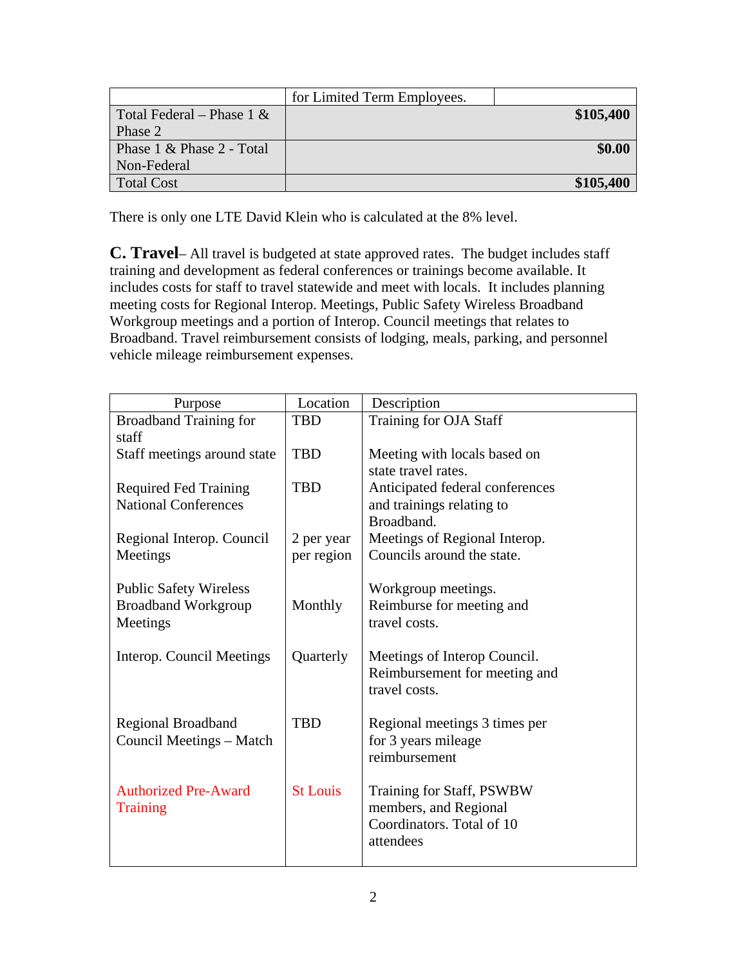|                              | for Limited Term Employees. |           |
|------------------------------|-----------------------------|-----------|
| Total Federal – Phase 1 $\&$ |                             | \$105,400 |
| Phase 2                      |                             |           |
| Phase 1 & Phase 2 - Total    |                             | \$0.00    |
| Non-Federal                  |                             |           |
| <b>Total Cost</b>            |                             | \$105,400 |

There is only one LTE David Klein who is calculated at the 8% level.

**C. Travel**– All travel is budgeted at state approved rates. The budget includes staff training and development as federal conferences or trainings become available. It includes costs for staff to travel statewide and meet with locals. It includes planning meeting costs for Regional Interop. Meetings, Public Safety Wireless Broadband Workgroup meetings and a portion of Interop. Council meetings that relates to Broadband. Travel reimbursement consists of lodging, meals, parking, and personnel vehicle mileage reimbursement expenses.

| Purpose                                                                 | Location                 | Description                                                                                  |
|-------------------------------------------------------------------------|--------------------------|----------------------------------------------------------------------------------------------|
| <b>Broadband Training for</b><br>staff                                  | <b>TBD</b>               | Training for OJA Staff                                                                       |
| Staff meetings around state                                             | <b>TBD</b>               | Meeting with locals based on<br>state travel rates.                                          |
| <b>Required Fed Training</b><br><b>National Conferences</b>             | <b>TBD</b>               | Anticipated federal conferences<br>and trainings relating to                                 |
| Regional Interop. Council<br>Meetings                                   | 2 per year<br>per region | Broadband.<br>Meetings of Regional Interop.<br>Councils around the state.                    |
| <b>Public Safety Wireless</b><br><b>Broadband Workgroup</b><br>Meetings | Monthly                  | Workgroup meetings.<br>Reimburse for meeting and<br>travel costs.                            |
| Interop. Council Meetings                                               | Quarterly                | Meetings of Interop Council.<br>Reimbursement for meeting and<br>travel costs.               |
| <b>Regional Broadband</b><br>Council Meetings – Match                   | <b>TBD</b>               | Regional meetings 3 times per<br>for 3 years mileage<br>reimbursement                        |
| <b>Authorized Pre-Award</b><br><b>Training</b>                          | <b>St Louis</b>          | Training for Staff, PSWBW<br>members, and Regional<br>Coordinators. Total of 10<br>attendees |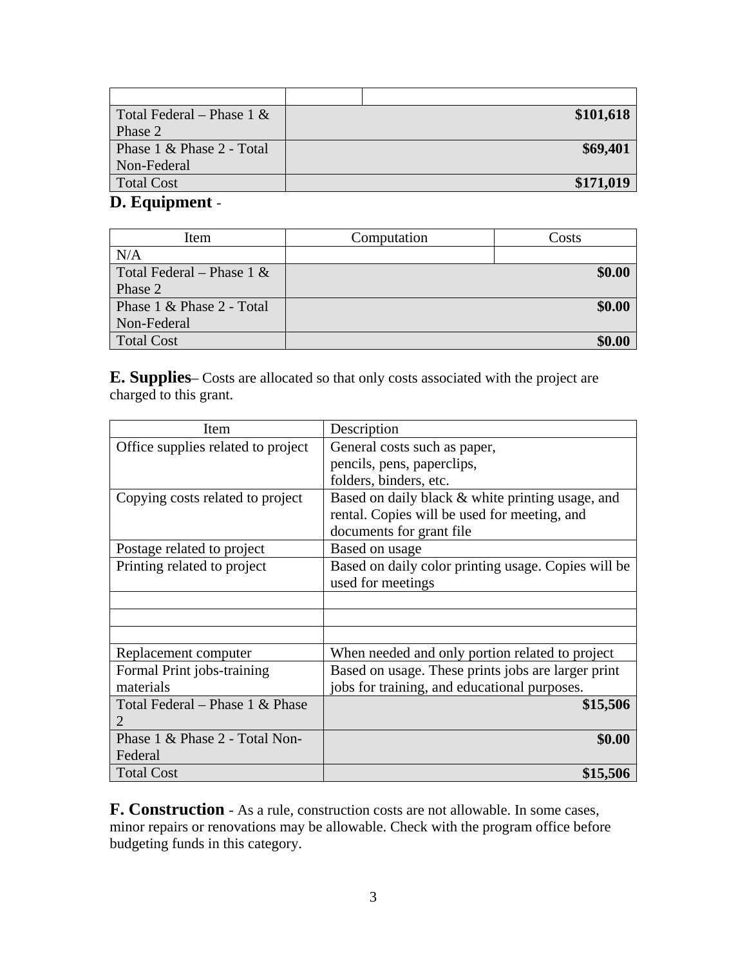| \$101,618 |
|-----------|
|           |
| \$69,401  |
|           |
| \$171,019 |
|           |

### **D. Equipment** -

| Item                         | Computation | Costs  |
|------------------------------|-------------|--------|
| N/A                          |             |        |
| Total Federal – Phase 1 $\&$ |             | \$0.00 |
| Phase 2                      |             |        |
| Phase 1 & Phase 2 - Total    |             | \$0.00 |
| Non-Federal                  |             |        |
| <b>Total Cost</b>            |             | \$0.00 |

**E. Supplies**– Costs are allocated so that only costs associated with the project are charged to this grant.

| <b>Item</b>                        | Description                                         |
|------------------------------------|-----------------------------------------------------|
| Office supplies related to project | General costs such as paper,                        |
|                                    | pencils, pens, paperclips,                          |
|                                    | folders, binders, etc.                              |
| Copying costs related to project   | Based on daily black & white printing usage, and    |
|                                    | rental. Copies will be used for meeting, and        |
|                                    | documents for grant file                            |
| Postage related to project         | Based on usage                                      |
| Printing related to project        | Based on daily color printing usage. Copies will be |
|                                    | used for meetings                                   |
|                                    |                                                     |
|                                    |                                                     |
|                                    |                                                     |
| Replacement computer               | When needed and only portion related to project     |
| Formal Print jobs-training         | Based on usage. These prints jobs are larger print  |
| materials                          | jobs for training, and educational purposes.        |
| Total Federal – Phase 1 & Phase    | \$15,506                                            |
| 2                                  |                                                     |
| Phase 1 & Phase 2 - Total Non-     | \$0.00                                              |
| Federal                            |                                                     |
| <b>Total Cost</b>                  | \$15,506                                            |

**F. Construction** - As a rule, construction costs are not allowable. In some cases, minor repairs or renovations may be allowable. Check with the program office before budgeting funds in this category.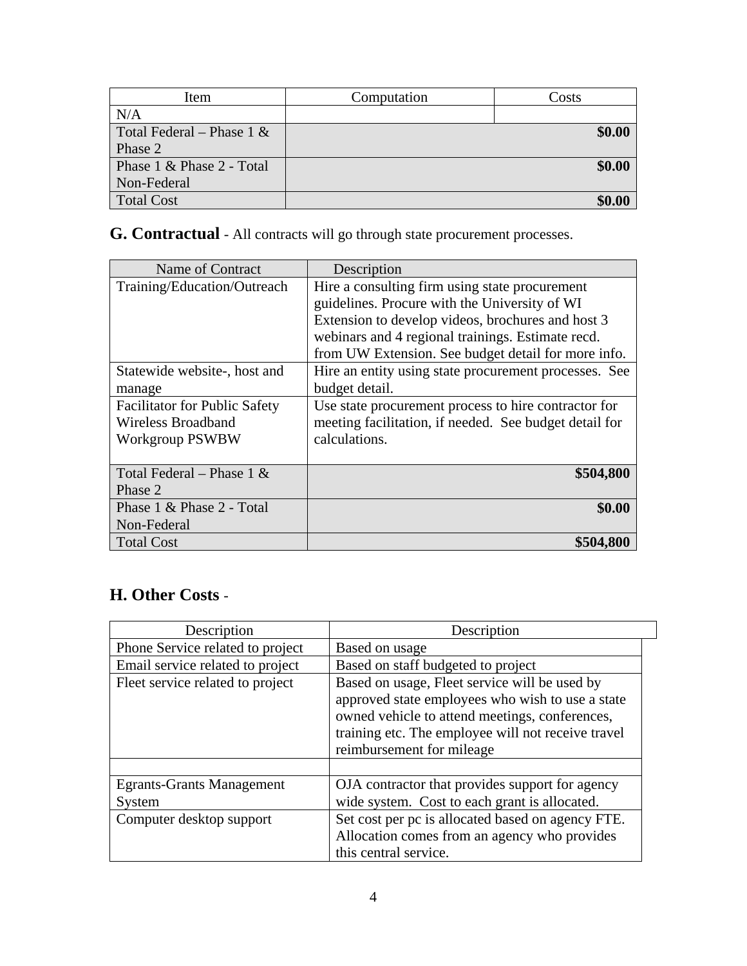| Item                         | Computation | Costs  |
|------------------------------|-------------|--------|
| N/A                          |             |        |
| Total Federal – Phase 1 $\&$ |             | \$0.00 |
| Phase 2                      |             |        |
| Phase 1 & Phase 2 - Total    |             | \$0.00 |
| Non-Federal                  |             |        |
| <b>Total Cost</b>            |             | \$0.00 |

# **G. Contractual** - All contracts will go through state procurement processes.

| Name of Contract                     | Description                                            |
|--------------------------------------|--------------------------------------------------------|
| Training/Education/Outreach          | Hire a consulting firm using state procurement         |
|                                      | guidelines. Procure with the University of WI          |
|                                      | Extension to develop videos, brochures and host 3      |
|                                      | webinars and 4 regional trainings. Estimate recd.      |
|                                      | from UW Extension. See budget detail for more info.    |
| Statewide website-, host and         | Hire an entity using state procurement processes. See  |
| manage                               | budget detail.                                         |
| <b>Facilitator for Public Safety</b> | Use state procurement process to hire contractor for   |
| Wireless Broadband                   | meeting facilitation, if needed. See budget detail for |
| Workgroup PSWBW                      | calculations.                                          |
|                                      |                                                        |
| Total Federal – Phase 1 $\&$         | \$504,800                                              |
| Phase 2                              |                                                        |
| Phase 1 & Phase 2 - Total            | \$0.00                                                 |
| Non-Federal                          |                                                        |
| <b>Total Cost</b>                    | \$504,800                                              |

# **H. Other Costs** -

| Description                      | Description                                                                                                                                                                                                                            |  |  |  |  |
|----------------------------------|----------------------------------------------------------------------------------------------------------------------------------------------------------------------------------------------------------------------------------------|--|--|--|--|
| Phone Service related to project | Based on usage                                                                                                                                                                                                                         |  |  |  |  |
| Email service related to project | Based on staff budgeted to project                                                                                                                                                                                                     |  |  |  |  |
| Fleet service related to project | Based on usage, Fleet service will be used by<br>approved state employees who wish to use a state<br>owned vehicle to attend meetings, conferences,<br>training etc. The employee will not receive travel<br>reimbursement for mileage |  |  |  |  |
|                                  |                                                                                                                                                                                                                                        |  |  |  |  |
| <b>Egrants-Grants Management</b> | OJA contractor that provides support for agency                                                                                                                                                                                        |  |  |  |  |
| System                           | wide system. Cost to each grant is allocated.                                                                                                                                                                                          |  |  |  |  |
| Computer desktop support         | Set cost per pc is allocated based on agency FTE.<br>Allocation comes from an agency who provides                                                                                                                                      |  |  |  |  |
|                                  | this central service.                                                                                                                                                                                                                  |  |  |  |  |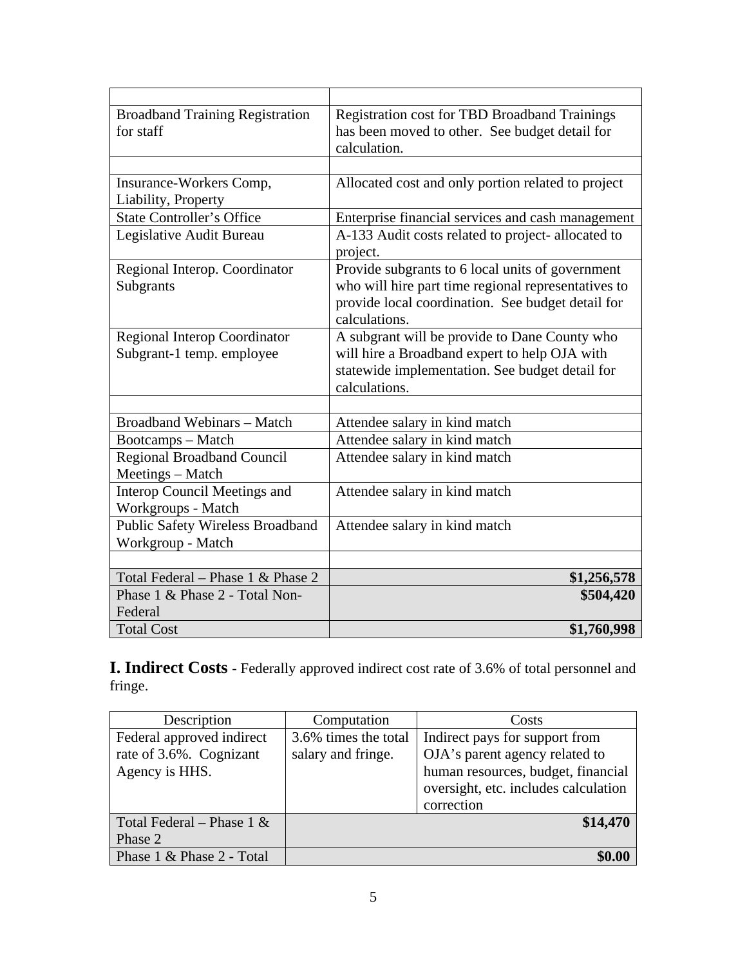| <b>Broadband Training Registration</b>  | <b>Registration cost for TBD Broadband Trainings</b> |  |  |  |  |  |
|-----------------------------------------|------------------------------------------------------|--|--|--|--|--|
| for staff                               | has been moved to other. See budget detail for       |  |  |  |  |  |
|                                         | calculation.                                         |  |  |  |  |  |
|                                         |                                                      |  |  |  |  |  |
| Insurance-Workers Comp,                 | Allocated cost and only portion related to project   |  |  |  |  |  |
| Liability, Property                     |                                                      |  |  |  |  |  |
| <b>State Controller's Office</b>        | Enterprise financial services and cash management    |  |  |  |  |  |
| Legislative Audit Bureau                | A-133 Audit costs related to project- allocated to   |  |  |  |  |  |
|                                         | project.                                             |  |  |  |  |  |
| Regional Interop. Coordinator           | Provide subgrants to 6 local units of government     |  |  |  |  |  |
| Subgrants                               | who will hire part time regional representatives to  |  |  |  |  |  |
|                                         | provide local coordination. See budget detail for    |  |  |  |  |  |
|                                         | calculations.                                        |  |  |  |  |  |
| <b>Regional Interop Coordinator</b>     | A subgrant will be provide to Dane County who        |  |  |  |  |  |
| Subgrant-1 temp. employee               | will hire a Broadband expert to help OJA with        |  |  |  |  |  |
|                                         | statewide implementation. See budget detail for      |  |  |  |  |  |
|                                         | calculations.                                        |  |  |  |  |  |
|                                         |                                                      |  |  |  |  |  |
| <b>Broadband Webinars - Match</b>       | Attendee salary in kind match                        |  |  |  |  |  |
| Bootcamps - Match                       | Attendee salary in kind match                        |  |  |  |  |  |
| Regional Broadband Council              | Attendee salary in kind match                        |  |  |  |  |  |
| Meetings-Match                          |                                                      |  |  |  |  |  |
| <b>Interop Council Meetings and</b>     | Attendee salary in kind match                        |  |  |  |  |  |
| Workgroups - Match                      |                                                      |  |  |  |  |  |
| <b>Public Safety Wireless Broadband</b> | Attendee salary in kind match                        |  |  |  |  |  |
| Workgroup - Match                       |                                                      |  |  |  |  |  |
|                                         |                                                      |  |  |  |  |  |
| Total Federal – Phase 1 & Phase 2       | \$1,256,578                                          |  |  |  |  |  |
| Phase 1 & Phase 2 - Total Non-          | \$504,420                                            |  |  |  |  |  |
| Federal                                 |                                                      |  |  |  |  |  |
| <b>Total Cost</b>                       | \$1,760,998                                          |  |  |  |  |  |

**I. Indirect Costs** - Federally approved indirect cost rate of 3.6% of total personnel and fringe.

| Description                  | Computation          | Costs                                |
|------------------------------|----------------------|--------------------------------------|
| Federal approved indirect    | 3.6% times the total | Indirect pays for support from       |
| rate of 3.6%. Cognizant      | salary and fringe.   | OJA's parent agency related to       |
| Agency is HHS.               |                      | human resources, budget, financial   |
|                              |                      | oversight, etc. includes calculation |
|                              |                      | correction                           |
| Total Federal – Phase 1 $\&$ |                      | \$14,470                             |
| Phase 2                      |                      |                                      |
| Phase 1 & Phase 2 - Total    |                      | \$0.00                               |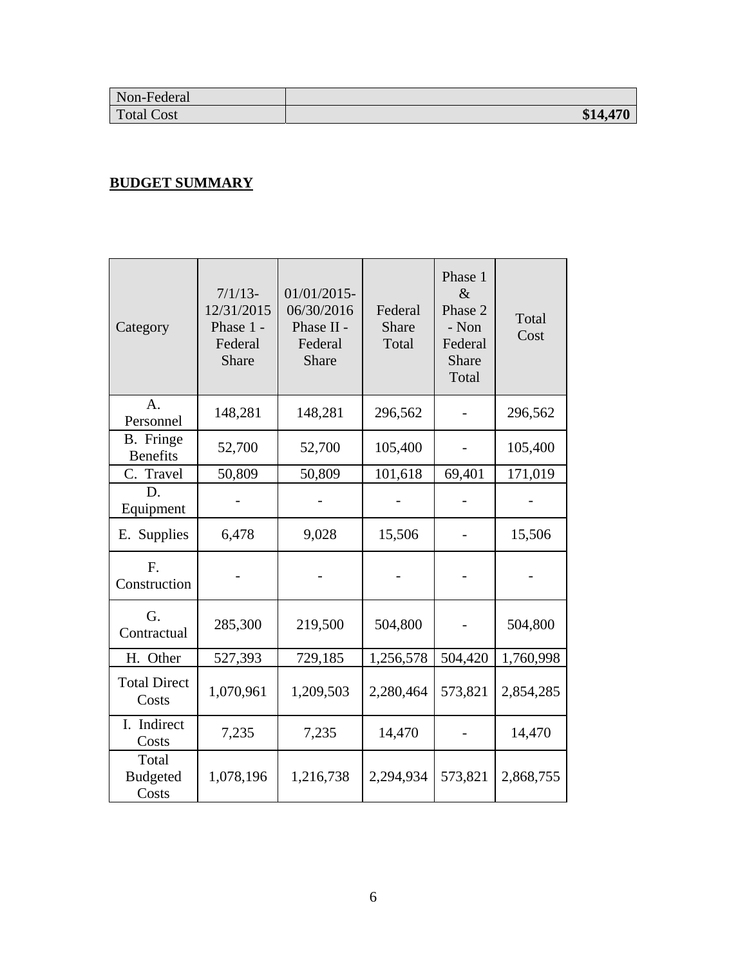| Non-Federal       |          |
|-------------------|----------|
| <b>Total Cost</b> | \$14,470 |

## **BUDGET SUMMARY**

| Category                          | $7/1/13$ -<br>12/31/2015<br>Phase 1 -<br>Federal<br><b>Share</b> | 01/01/2015-<br>06/30/2016<br>Phase II -<br>Federal<br><b>Share</b> | Federal<br>Share<br>Total | Phase 1<br>$\&$<br>Phase 2<br>- Non<br>Federal<br>Share<br>Total | Total<br>Cost |  |
|-----------------------------------|------------------------------------------------------------------|--------------------------------------------------------------------|---------------------------|------------------------------------------------------------------|---------------|--|
| A.<br>Personnel                   | 148,281                                                          | 148,281                                                            | 296,562                   |                                                                  | 296,562       |  |
| B. Fringe<br><b>Benefits</b>      | 52,700                                                           | 52,700                                                             | 105,400                   |                                                                  | 105,400       |  |
| C. Travel                         | 50,809                                                           | 50,809                                                             | 101,618                   | 69,401                                                           | 171,019       |  |
| D.<br>Equipment                   |                                                                  |                                                                    |                           |                                                                  |               |  |
| E. Supplies                       | 6,478                                                            | 15,506<br>9,028                                                    |                           |                                                                  | 15,506        |  |
| F.<br>Construction                |                                                                  |                                                                    |                           |                                                                  |               |  |
| G.<br>Contractual                 | 285,300                                                          | 219,500                                                            | 504,800                   |                                                                  | 504,800       |  |
| H. Other                          | 527,393                                                          | 729,185                                                            | 1,256,578                 | 504,420                                                          | 1,760,998     |  |
| <b>Total Direct</b><br>Costs      | 1,070,961                                                        | 1,209,503                                                          | 2,280,464                 | 573,821                                                          | 2,854,285     |  |
| I. Indirect<br>Costs              | 7,235                                                            | 7,235                                                              | 14,470                    |                                                                  | 14,470        |  |
| Total<br><b>Budgeted</b><br>Costs | 1,078,196                                                        | 1,216,738                                                          | 2,294,934                 | 573,821                                                          | 2,868,755     |  |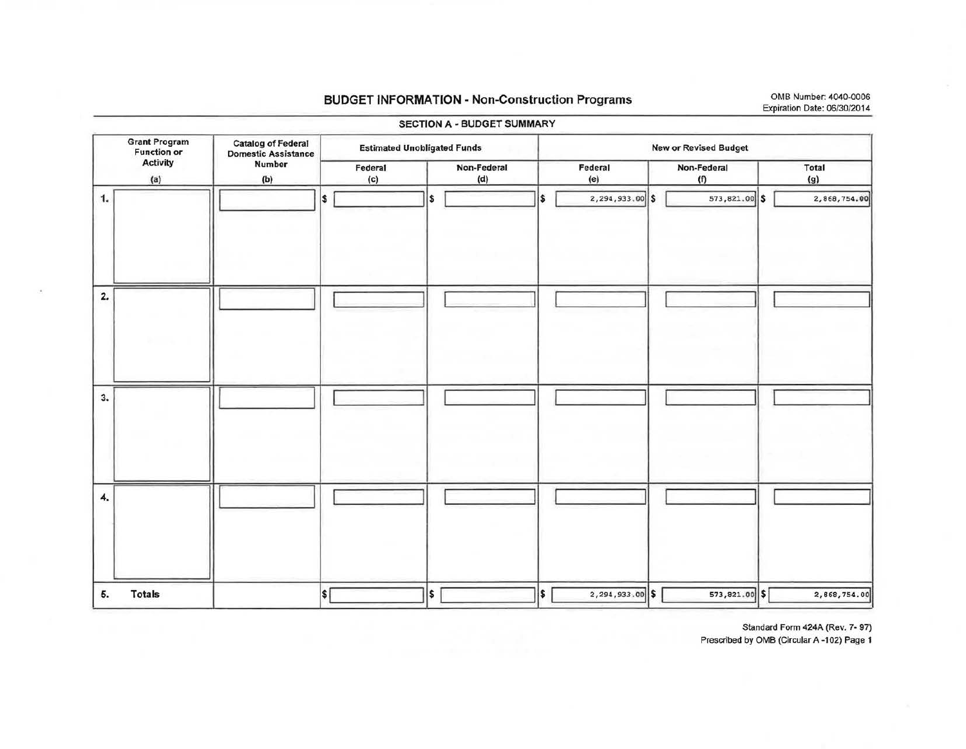### BUDGET INFORMATION - Non-Construction Programs OMB Number: 4040-0006

Grant Program Function or Activity (a) 1. I  $\|\Box$  $\blacksquare$ 4.  $\|\_$ 5. Totals Catalog of Federal Estimated Unobligated Funds<br>
Domestic Assistance Rumber Vumber Federal Non-Federal<br>(b) (c) (d) (b) (c) (d) I \$ I I\$ I <sup>1</sup> \$ I  $\parallel$   $\Box$   $\parallel$   $\Box$   $\parallel$   $\Box$   $\parallel$   $\Box$   $\parallel$  $\blacksquare$  I is a set of  $\blacksquare$  $\parallel$   $\equiv$   $\lnot$   $\parallel$   $\equiv$   $\lnot$   $\lnot$   $\lnot$  $\begin{array}{|c|c|c|c|c|}\n \hline\n \text{ }}\n \end{array}$   $\begin{array}{|c|c|c|c|}\n \hline\n \text{ }}\n \text{ }$ New or Revised Budget Federal (e)  $2,294,933.00$  \$ I I I I I 1  $2,294,933.00$  \$ Non-Federal Total<br>
(f) (g)  $(g)$ 573, 821.00 \$ 2,868, 754.00  $\blacksquare$ I I  $\Box$ I I I 573, 821.00 \$1 2, 868,754.00

SECTION A - BUDGET SUMMARY

Standard Form 424A (Rev. 7- 97)

Prescribed by OMB (Circular A-102) Page 1

Expiration Date: 06/30/2014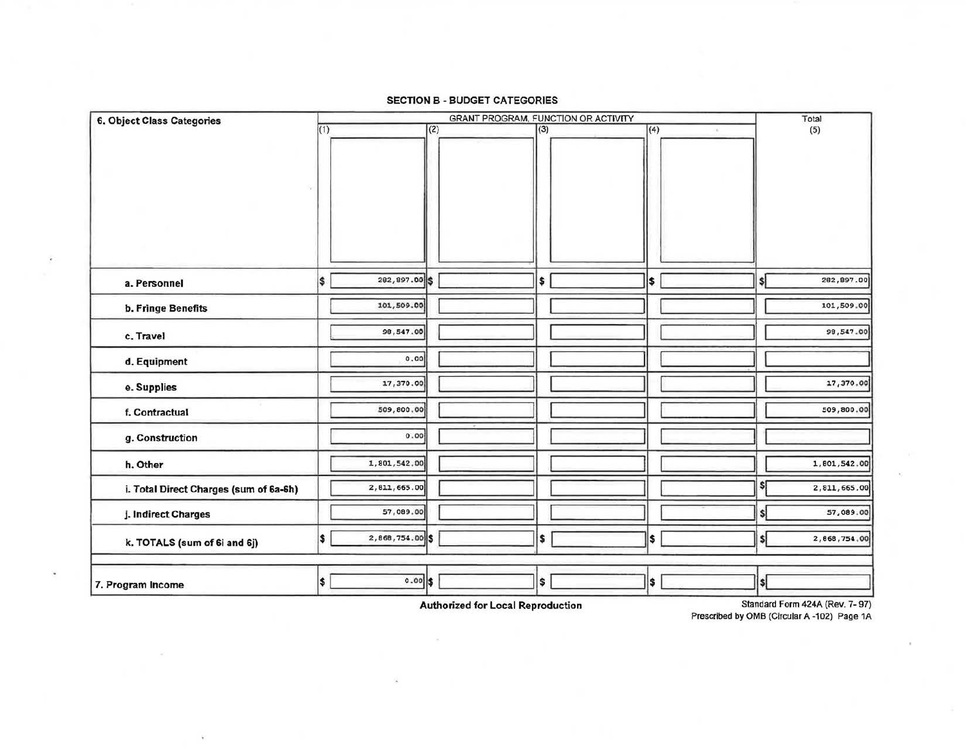6. Object Class Categories (1) GRANT PROGRAM, FUNCTION OR ACTIVITY (2) GRANT PROGRAM, FUNCTION OR ACTIVITY  $(2)$  (3) a. Personnel  $\begin{bmatrix} 1 & 282,897.00 \\ 0 & 282,897.00 \end{bmatrix}$ \$ b. Fringe Benefits 101,509.00 c. Travel  $\left[\begin{array}{ccc} & & 98,547.00 \\ & & & \end{array}\right]$ d. Equipment I o.ool I I I e. Supplies  $\begin{array}{|c|c|c|c|c|}\hline & & 17,370.00& & \\\hline \end{array}$ f. Contractual  $\begin{array}{|c|c|c|c|c|c|}\n\hline\n\text{509,800.00} & & \text{509,800.00}\n\hline\n\end{array}$ g. Construction and a set of the set of  $\sim$  0.00 **h.** Other  $1,801,542,00$ i. Total Direct Charges (sum of 6a-6h) | 2, 811, 665.00 j. Indirect Charges I 57,089 . <sup>001</sup>I I I k. TOTALS (sum of 6i and 6j)  $\begin{array}{|c|c|c|c|c|}\n\hline\n\text{1. } & & \text{2.868,754.00} \text{ s} & \text{3.588} & \text{4.754.008} & \text{5.588} & \text{6.754.008} & \text{7.548.008} & \text{8.588.008} & \text{9.588.008} & \text{1.588.008} & \text{1.588.008} & \text{1.588.008} & \text{1.58$ 7. Program Income sl on sl on sl on sl on sl on sl on sl on sl on sl on sl on sl on sl on sl on sl on sl on sl o  $(4)$  $\vert$ I I I I I I I J I I Is l  $\left| \cdot \right|$ Total (5) S 282,897.00 101,509 . 001 98,547.00  $\blacksquare$ 17,370.00 509,800.00  $\blacksquare$ 1,801,542.00 I s1 2 ,811, 665 .ooj 57,089.00 I sl *2,* 86s, 754 .ool  $\begin{array}{|c|c|c|c|c|}\hline \text{S} & \text{I} & \text{I} & \text{I} & \text{I} & \text{I} & \text{I} & \text{I} & \text{I} & \text{I} & \text{I} & \text{I} & \text{I} & \text{I} & \text{I} & \text{I} & \text{I} & \text{I} & \text{I} & \text{I} & \text{I} & \text{I} & \text{I} & \text{I} & \text{I} & \text{I} & \text{I} & \text{I} & \text{I} & \text{I} & \text{I} & \text{I} & \text{I} & \text{$ 

 $\overline{\phantom{a}}$ 

 $\mathcal{L}$ 

#### SECTION B- BUDGET CATEGORIES

Authorized for Local Reproduction

Standard Form 424A (Rev. 7- 97) Prescribed by OMB (Circular A-102) Page 1A